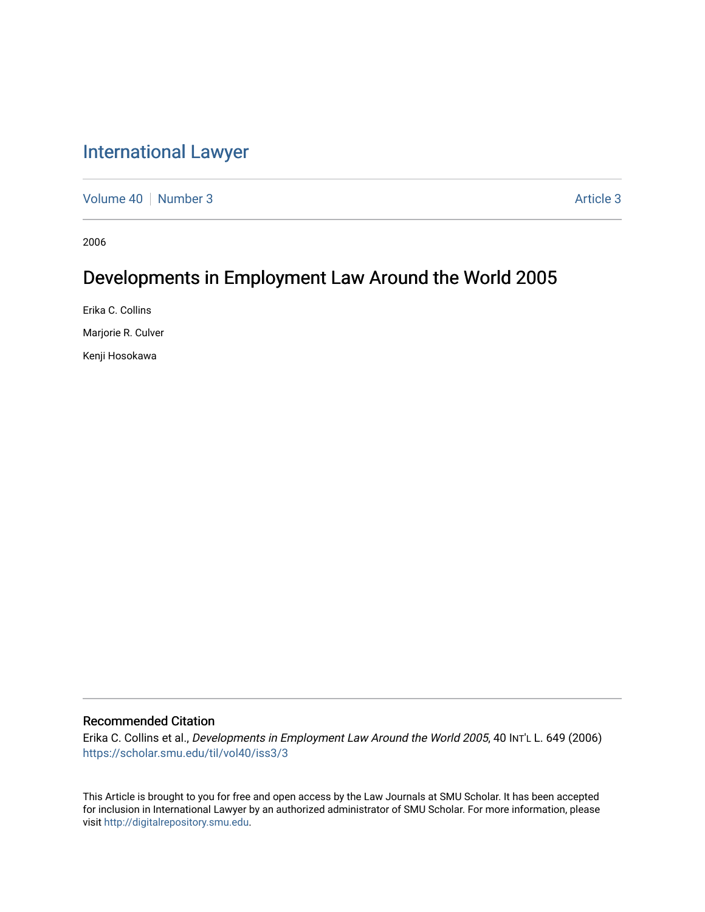# [International Lawyer](https://scholar.smu.edu/til)

[Volume 40](https://scholar.smu.edu/til/vol40) | [Number 3](https://scholar.smu.edu/til/vol40/iss3) Article 3

2006

# Developments in Employment Law Around the World 2005

Erika C. Collins Marjorie R. Culver Kenji Hosokawa

# Recommended Citation

Erika C. Collins et al., Developments in Employment Law Around the World 2005, 40 INT'L L. 649 (2006) [https://scholar.smu.edu/til/vol40/iss3/3](https://scholar.smu.edu/til/vol40/iss3/3?utm_source=scholar.smu.edu%2Ftil%2Fvol40%2Fiss3%2F3&utm_medium=PDF&utm_campaign=PDFCoverPages)

This Article is brought to you for free and open access by the Law Journals at SMU Scholar. It has been accepted for inclusion in International Lawyer by an authorized administrator of SMU Scholar. For more information, please visit [http://digitalrepository.smu.edu](http://digitalrepository.smu.edu/).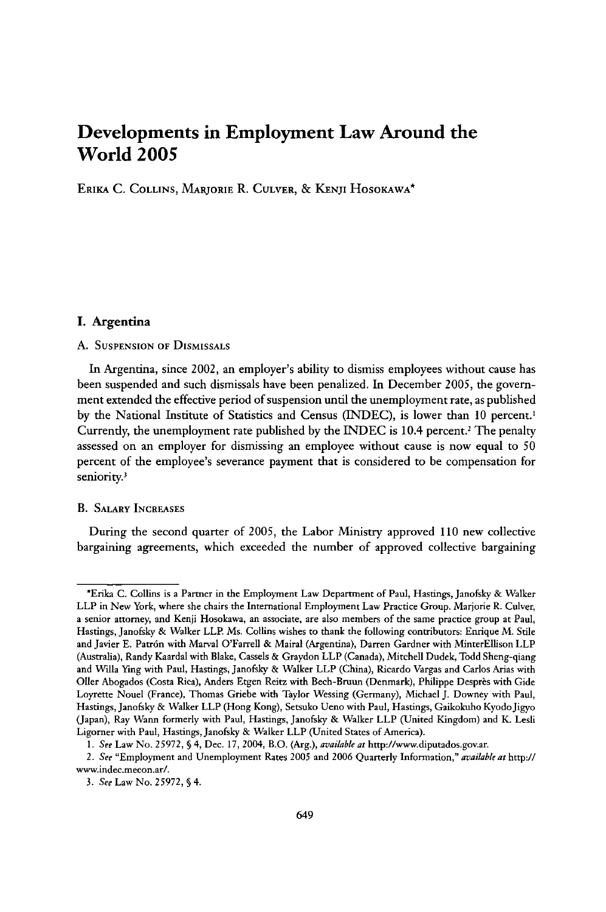# **Developments in Employment Law Around the World 2005**

ERIKA **C. COLLINS,** MARJORIE R. **CULVER, &** KENJI HosoKAwA\*

# **I. Argentina**

#### **A. SUSPENSION OF** DISMISSALS

In Argentina, since 2002, an employer's ability to dismiss employees without cause has been suspended and such dismissals have been penalized. In December **2005,** the government extended the effective period of suspension until the unemployment rate, as published **by** the National Institute of Statistics and Census **(IZNDEC),** is lower than **10** percent.' Currently, the unemployment rate published **by** the INDEC is 10.4 percent.2 The penalty assessed on an employer for dismissing an employee without cause is now equal to **50** percent of the employee's severance payment that is considered to be compensation for seniority.<sup>3</sup>

### B. SALARY INCREASES

During the second quarter of **2005,** the Labor Ministry approved **110** new collective bargaining agreements, which exceeded the number of approved collective bargaining

<sup>\*</sup>Erika **C.** Collins is a Partner in the Employment Law Department of Paul, Hastings, Janofsky & Walker LLP in New York, where she chairs the International Employment Law Practice Group. Marjorie R. Culver, a senior attorney, and Kenji Hosokawa, an associate, are also members of the same practice group at Paul, Hastings, Janofsky & Walker LLP. Ms. Collins wishes to thank the following contributors: Enrique M. Stile and Javier **E.** Patr6n with Marval O'Farrell & Mairal (Argentina), Darren Gardner with MinterEllison LLP (Australia), Randy Kaardal with Blake, Cassels & Graydon LLP (Canada), Mitchell Dudek, Todd Sheng-qiang and Willa Ying with Paul, Hastings, Janofsky & Walker LLP (China), Ricardo Vargas and Carlos Arias with Oller Abogados (Costa Rica), Anders Etgen Reitz with Bech-Bruun (Denmark), Philippe Desprès with Gide Loyrette Nouel (France), Thomas Griebe with Taylor Wessing (Germany), Michael **J.** Downey with Paul, Hastings, Janofsky & Walker LLP (Hong Kong), Setsuko Ueno with Paul, Hastings, Gaikokiho KyodoJigyo (Japan), Ray Wann formerly with Paul, Hastings, Janofsky & Walker LLP (United Kingdom) and K. **Lesli** Ligorner with Paul, Hastings, Janofsky & Walker LLP (United States of America).

*<sup>1.</sup> See* Law No. **25972,** § 4, Dec. 17, 2004, B.O. (Arg.), *available at* http://www.diputados.gov.ar.

<sup>2.</sup> *See* "Employment and Unemployment Rates **2005** and **2006** Quarterly Information," *available at* http:I/ www.indec.mecon.ar/.

**<sup>3.</sup>** *See* Law No. **25972,** § 4.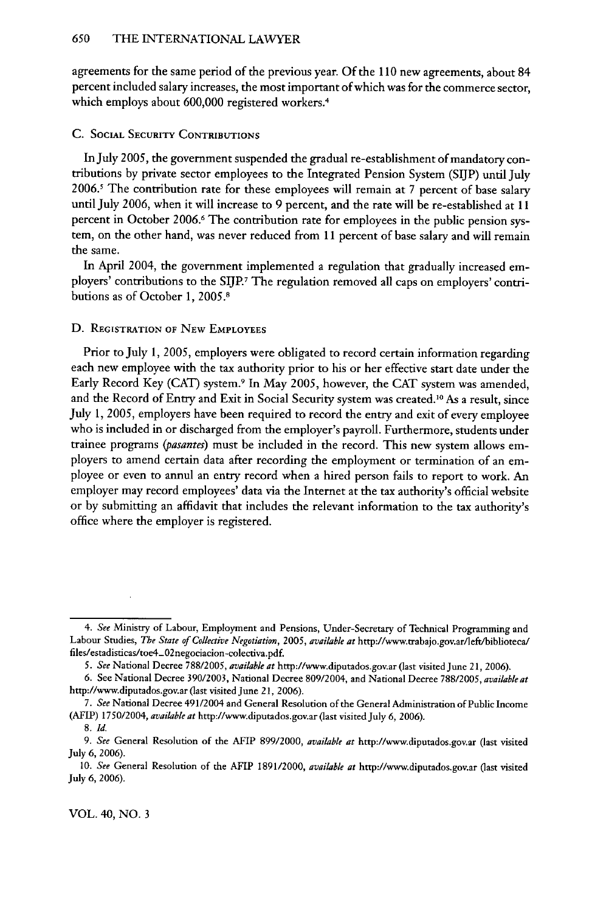agreements for the same period of the previous year. Of the 110 new agreements, about 84 percent included salary increases, the most important of which was for the commerce sector, which employs about 600,000 registered workers.<sup>4</sup>

### **C.** SOCIAL SECURITY CONTRIBUTIONS

In July *2005,* the government suspended the gradual re-establishment of mandatory contributions by private sector employees to the Integrated Pension System (SIJP) until July  $2006$ .<sup>5</sup> The contribution rate for these employees will remain at 7 percent of base salary until July 2006, when it will increase to 9 percent, and the rate will be re-established at 11 percent in October 2006.<sup>6</sup> The contribution rate for employees in the public pension system, on the other hand, was never reduced from 11 percent of base salary and will remain the same.

In April 2004, the government implemented a regulation that gradually increased employers' contributions to the SIJP.<sup>7</sup> The regulation removed all caps on employers' contributions as of October 1, 2005.8

#### D. REGISTRATION OF NEw **EMPLOYEES**

Prior to July 1, 2005, employers were obligated to record certain information regarding each new employee with the tax authority prior to his or her effective start date under the Early Record Key (CAT) system.<sup>9</sup> In May 2005, however, the CAT system was amended, and the Record of Entry and Exit in Social Security system was created.<sup>10</sup> As a result, since July 1, 2005, employers have been required to record the entry and exit of every employee who is included in or discharged from the employer's payroll. Furthermore, students under trainee programs *(pasantes)* must be included in the record. This new system allows employers to amend certain data after recording the employment or termination of an employee or even to annul an entry record when a hired person fails to report to work. An employer may record employees' data via the Internet at the tax authority's official website or by submitting an affidavit that includes the relevant information to the tax authority's office where the employer is registered.

*<sup>4.</sup> See* Ministry of Labour, Employment and Pensions, Under-Secretary of Technical Programming and Labour Studies, *The State of Collective Negotiation, 2005, available at* http://www.trabajo.gov.ar/left/biblioteca/ files/estadisticas/toe4-02negociacion-colectiva.pdf.

*<sup>5.</sup> See* National Decree 788/2005, *available at* http://www.diputados.gov.ar (last visited June *21,* 2006).

<sup>6.</sup> See National Decree 390/2003, National Decree 809/2004, and National Decree 788/2005, *available at* http://www.diputados.gov.ar (last visited June 21, 2006).

*<sup>7.</sup> See* National Decree 491/2004 and General Resolution of the General Administration of Public Income (AFIP) 1750/2004, *available at* http://www.diputados.gov.ar (last visited July 6, 2006).

<sup>8.</sup> *Id.*

*<sup>9.</sup> See* General Resolution of the AFIP 899/2000, *available at* http://www.diputados.gov.ar (last visited July 6, 2006).

<sup>10.</sup> *See* General Resolution of the AFIP 1891/2000, *available at* http://www.diputados.gov.ar (last visited July 6, 2006).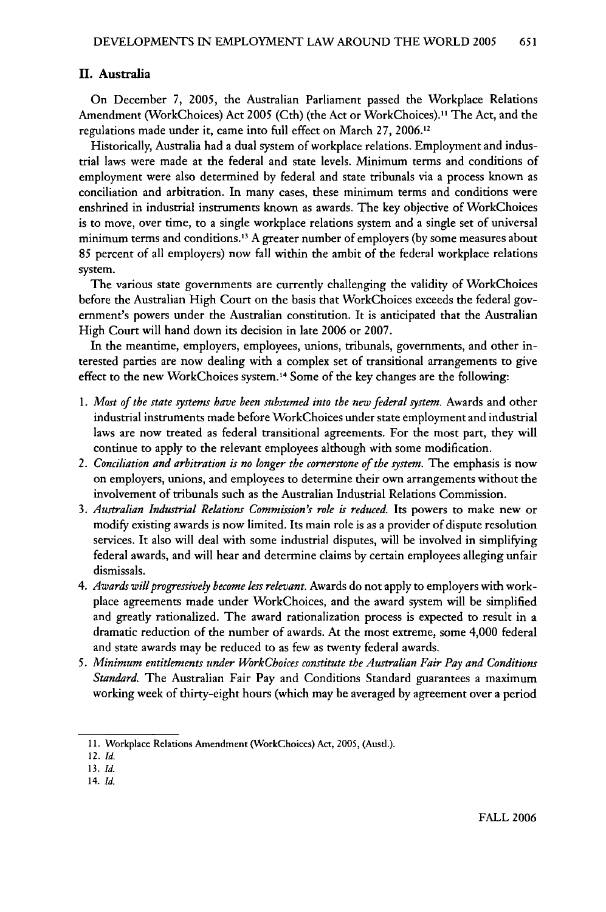# II. Australia

On December 7, 2005, the Australian Parliament passed the Workplace Relations Amendment (WorkChoices) Act 2005 (Cth) (the Act or WorkChoices)." The Act, and the regulations made under it, came into full effect on March 27, 2006.12

Historically, Australia had a dual system of workplace relations. Employment and industrial laws were made at the federal and state levels. Minimum terms and conditions of employment were also determined by federal and state tribunals via a process known as conciliation and arbitration. In many cases, these minimum terms and conditions were enshrined in industrial instruments known as awards. The key objective of WorkChoices is to move, over time, to a single workplace relations system and a single set of universal minimum terms and conditions.<sup>13</sup> A greater number of employers (by some measures about 85 percent of all employers) now fall within the ambit of the federal workplace relations system.

The various state governments are currently challenging the validity of WorkChoices before the Australian High Court on the basis that WorkChoices exceeds the federal government's powers under the Australian constitution. It is anticipated that the Australian High Court will hand down its decision in late 2006 or 2007.

In the meantime, employers, employees, unions, tribunals, governments, and other interested parties are now dealing with a complex set of transitional arrangements to give effect to the new WorkChoices system. 14 Some of the key changes are the following:

- 1. *Most of the state systems have been subsumed into the new federal system.* Awards and other industrial instruments made before WorkChoices under state employment and industrial laws are now treated as federal transitional agreements. For the most part, they will continue to apply to the relevant employees although with some modification.
- *2. Conciliation and arbitration is no longer the cornerstone of the system.* The emphasis is now on employers, unions, and employees to determine their own arrangements without the involvement of tribunals such as the Australian Industrial Relations Commission.
- 3. *Australian Industrial Relations Commission's role is reduced.* Its powers to make new or modify existing awards is now limited. Its main role is as a provider of dispute resolution services. It also will deal with some industrial disputes, will be involved in simplifying federal awards, and will hear and determine claims by certain employees alleging unfair dismissals.
- 4. *Awards will progressively become less relevant.* Awards do not apply to employers with workplace agreements made under WorkChoices, and the award system will be simplified and greatly rationalized. The award rationalization process is expected to result in a dramatic reduction of the number of awards. At the most extreme, some 4,000 federal and state awards may be reduced to as few as twenty federal awards.
- *5. Minimum entitlements under WorkChoices constitute the Australian Fair Pay and Conditions Standard.* The Australian Fair Pay and Conditions Standard guarantees a maximum working week of thirty-eight hours (which may be averaged by agreement over a period

<sup>11.</sup> Workplace Relations Amendment (WorkChoices) Act, 2005, (Austl.).

<sup>12.</sup> *Id.*

*<sup>13.</sup> Id.*

<sup>14.</sup> *Id.*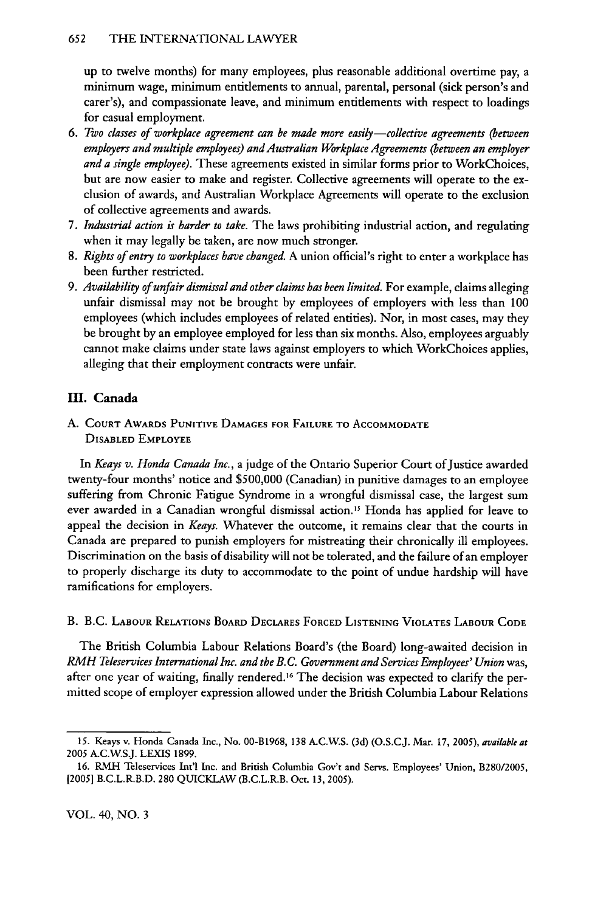# 652 THE LNTERNATIONAL LAWYER

up to twelve months) for many employees, plus reasonable additional overtime pay, a minimum wage, minimum entitlements to annual, parental, personal (sick person's and carer's), and compassionate leave, and minimum entitlements with respect to loadings for casual employment.

- *6. Two classes of workplace agreement can be made more easily-collective agreements (between employers and multiple employees) and Australian Workplace Agreements (between an employer and a single employee).* These agreements existed in similar forms prior to WorkChoices, but are now easier to make and register. Collective agreements will operate to the exclusion of awards, and Australian Workplace Agreements will operate to the exclusion of collective agreements and awards.
- *7. Industrial action is harder to take.* The laws prohibiting industrial action, and regulating when it may legally be taken, are now much stronger.
- 8. *Rights of entry to workplaces have changed.* A union official's right to enter a workplace has been further restricted.
- *9. Availability of unfair dismissal and other claims has been limited.* For example, claims alleging unfair dismissal may not be brought by employees of employers with less than 100 employees (which includes employees of related entities). Nor, in most cases, may they be brought by an employee employed for less than six months. Also, employees arguably cannot make claims under state laws against employers to which WorkChoices applies, alleging that their employment contracts were unfair.

# **H. Canada**

**A. COURT AwARDs PUNITIvE DAMAGES FOR FAILURE** TO **ACCOMMODATE DISABLED EMPLOYEE**

*In Keays v. Honda Canada Inc.,* a judge of the Ontario Superior Court of Justice awarded twenty-four months' notice and \$500,000 (Canadian) in punitive damages to an employee suffering from Chronic Fatigue Syndrome in a wrongful dismissal case, the largest sum ever awarded in a Canadian wrongful dismissal action.<sup>15</sup> Honda has applied for leave to appeal the decision in *Keays.* Whatever the outcome, it remains clear that the courts in Canada are prepared to punish employers for mistreating their chronically ill employees. Discrimination on the basis of disability will not be tolerated, and the failure of an employer to properly discharge its duty to accommodate to the point of undue hardship will have ramifications for employers.

B. B.C. LABOUR RELATIONS BOARD DECLARES FORCED LISTENING VIOLATES LABOUR **CODE**

The British Columbia Labour Relations Board's (the Board) long-awaited decision in *RMH Teleservices International Inc. and the B. C. Government and Services Employees' Union* was, after one year of waiting, finally rendered.16 The decision was expected to clarify the permitted scope of employer expression allowed under the British Columbia Labour Relations

<sup>15.</sup> Keays v. Honda Canada Inc., No. 00-B1968, 138 A.C.WS. (3d) (O.S.CJ. Mar. 17, 2005), *available at* 2005 A.C.WSJ. LEXIS 1899.

<sup>16.</sup> RMH Teleservices Int'l Inc. and British Columbia Gov't and Servs. Employees' Union, B280/2005, [2005] B.C.L.R.B.D. 280 QUICKLAW (B.C.L.R.B. Oct. *13,* 2005).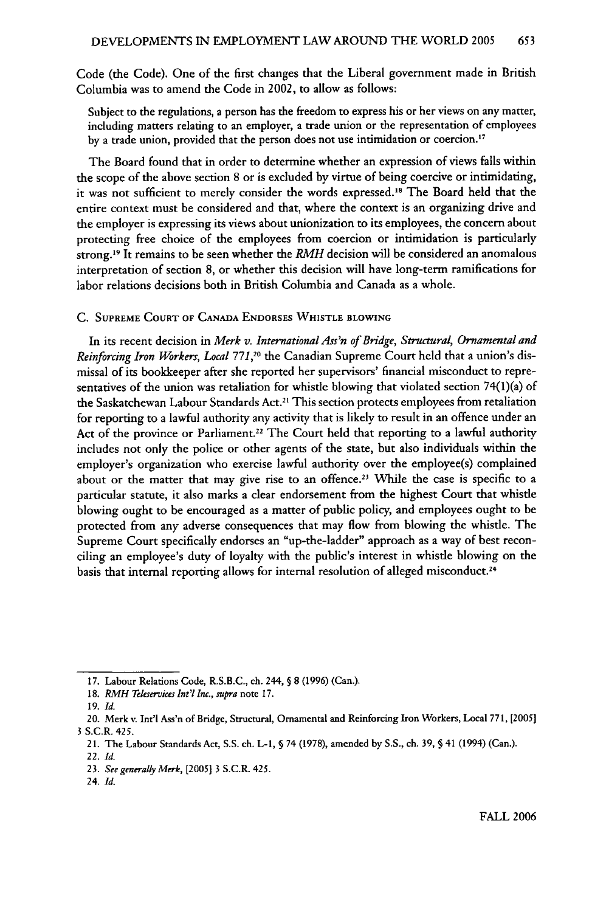Code (the Code). One of the first changes that the Liberal government made in British Columbia was to amend the Code in 2002, to allow as follows:

Subject to the regulations, a person has the freedom to express his or her views on any matter, including matters relating to an employer, a trade union or the representation of employees by a trade union, provided that the person does not use intimidation or coercion.<sup>17</sup>

The Board found that in order to determine whether an expression of views falls within the scope of the above section 8 or is excluded by virtue of being coercive or intimidating, it was not sufficient to merely consider the words expressed.<sup>18</sup> The Board held that the entire context must be considered and that, where the context is an organizing drive and the employer is expressing its views about unionization to its employees, the concern about protecting free choice of the employees from coercion or intimidation is particularly strong. 19 It remains to be seen whether the *RMH* decision will be considered an anomalous interpretation of section 8, or whether this decision will have long-term ramifications for labor relations decisions both in British Columbia and Canada as a whole.

#### **C. SUPREME COURT OF CANADA ENDORSES WHISTLE BLOWING**

In its recent decision in *Merk v. International Ass'n of Bridge, Structural, Ornamental and* Reinforcing Iron Workers, Local 771,<sup>20</sup> the Canadian Supreme Court held that a union's dismissal of its bookkeeper after she reported her supervisors' financial misconduct to representatives of the union was retaliation for whistle blowing that violated section 74(l)(a) of the Saskatchewan Labour Standards Act.<sup>21</sup> This section protects employees from retaliation for reporting to a lawful authority any activity that is likely to result in an offence under an Act of the province or Parliament.<sup>22</sup> The Court held that reporting to a lawful authority includes not only the police or other agents of the state, but also individuals within the employer's organization who exercise lawful authority over the employee(s) complained about or the matter that may give rise to an offence.<sup>23</sup> While the case is specific to a particular statute, it also marks a clear endorsement from the highest Court that whistle blowing ought to be encouraged as a matter of public policy, and employees ought to be protected from any adverse consequences that may flow from blowing the whistle. The Supreme Court specifically endorses an "up-the-ladder" approach as a way of best reconciling an employee's duty of loyalty with the public's interest in whistle blowing on the basis that internal reporting allows for internal resolution of alleged misconduct.<sup>24</sup>

<sup>17.</sup> Labour Relations Code, R.S.B.C., ch. 244, **§** 8 (1996) (Can.).

<sup>18.</sup> *RMH Teleservices Int'l Inc., supra* note 17.

<sup>19.</sup> *Id.*

<sup>20.</sup> Merk v. Int'l Ass'n of Bridge, Structural, Ornamental and Reinforcing Iron Workers, Local 771, [2005] 3 S.C.R. 425.

<sup>21.</sup> The Labour Standards Act, S.S. ch. L-1, § 74 (1978), amended by S.S., ch. 39, § 41 (1994) (Can.).

<sup>22.</sup> *Id.*

<sup>23.</sup> See generally Merk, *[20051* 3 S.C.R. 425.

<sup>24.</sup> *Id.*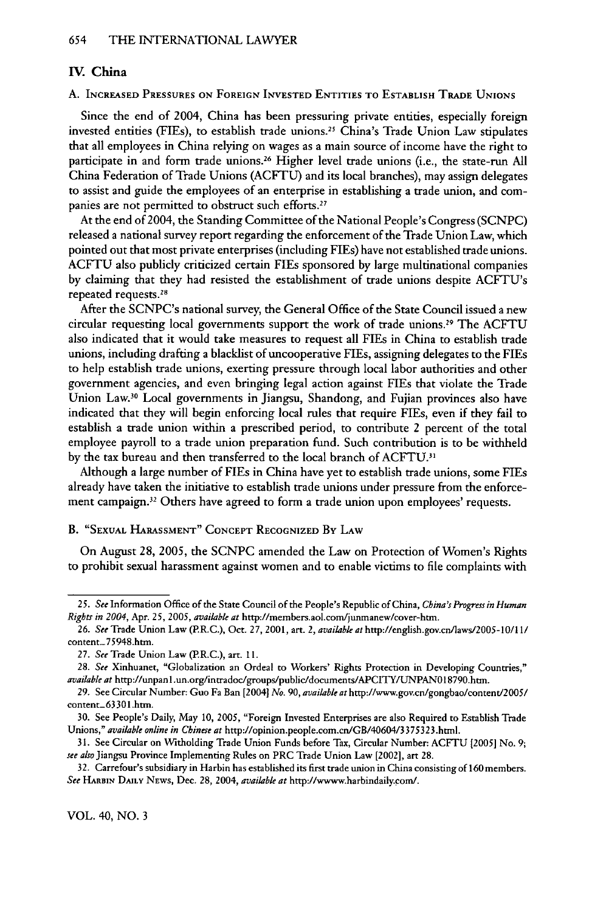### IV. China

A. **INCREASED PRESSURES ON FOREIGN INVESTED ENTITIES** TO **ESTABLISH** TRADE **UNIONS**

Since the end of 2004, China has been pressuring private entities, especially foreign invested entities (FIEs), to establish trade unions.25 China's Trade Union Law stipulates that all employees in China relying on wages as a main source of income have the right to participate in and form trade unions.26 Higher level trade unions (i.e., the state-run **All** China Federation of Trade Unions (ACFTU) and its local branches), may assign delegates to assist and guide the employees of an enterprise in establishing a trade union, and companies are not permitted to obstruct such efforts.<sup>27</sup>

At the end of 2004, the Standing Committee of the National People's Congress **(SCNPC)** released a national survey report regarding the enforcement of the Trade Union Law, which pointed out that most private enterprises (including FIEs) have not established trade unions. **ACFTU** also publicly criticized certain **FIEs** sponsored **by** large multinational companies **by** claiming that they had resisted the establishment of trade unions despite ACFTU's repeated requests.28

After the SCNPC's national survey, the General Office of the State Council issued a new circular requesting local governments support the work of trade unions.29 The ACFTU also indicated that it would take measures to request all FlEs in China to establish trade unions, including drafting a blacklist of uncooperative FIEs, assigning delegates to the FIEs to help establish trade unions, exerting pressure through local labor authorities and other government agencies, and even bringing legal action against FIEs that violate the Trade Union Law.<sup>30</sup> Local governments in Jiangsu, Shandong, and Fujian provinces also have indicated that they will begin enforcing local rules that require FIEs, even if they fail to establish a trade union within a prescribed period, to contribute 2 percent of the total employee payroll to a trade union preparation fund. Such contribution is to be withheld by the tax bureau and then transferred to the local branch of ACFTU.<sup>31</sup>

Although a large number of FIEs in China have yet to establish trade unions, some FIEs already have taken the initiative to establish trade unions under pressure from the enforcement campaign.32 Others have agreed to form a trade union upon employees' requests.

# B. **"SEXUAL** HARASSMENT" **CONCEPT** RECOGNIZED By LAW

On August 28, 2005, the SCNPC amended the Law on Protection of Women's Rights to prohibit sexual harassment against women and to enable victims to file complaints with

*<sup>25.</sup> See* Information Office of the State Council of the People's Republic of China, *China's Progress in Human Rights in 2004,* Apr. *25,* 2005, *available at* http://members.aol.com/junmanew/cover-htn.

*<sup>26.</sup> See* Trade Union Law (P.R.C.), Oct. 27, 2001, art. *2, available at* http://english.gov.cn/laws/2005-10/l **1/** content- 75948.htm.

<sup>27.</sup> *See* Trade Union Law (P.R.C.), art. **11.**

*<sup>28.</sup> See* Xinhuanet, "Globalization an Ordeal to Workers' Rights Protection in Developing Countries," *available at* http://unpanl.un.org/intradoc/groups/public/documents/APCITY/UNPANOI8790.htm.

<sup>29.</sup> See Circular Number: Guo Fa Ban [20041 *No. 90, available at* http://www.gov.cn/gongbao/content/2005/ content\_63301.htm.

**<sup>30.</sup>** See People's Daily, May **10,** 2005, "Foreign Invested Enterprises are also Required to Establish Trade Unions," *available online in Chinese at* http://opinion.people.com.cn/GB/40604/3375323.html.

<sup>31.</sup> See Circular on Witholding Trade Union Funds before Tax, Circular Number: ACFTU [2005] No. 9; *see alsoJiangsu* Province Implementing Rules on PRC Trade Union Law [2002], art 28.

<sup>32.</sup> Carrefour's subsidiary in Harbin has established its first trade union in China consisting of 160 members. *See* HARBIN **DAILY** NEWS, Dec. **28,** 2004, *available at* http://wwww.harbindaily.com/.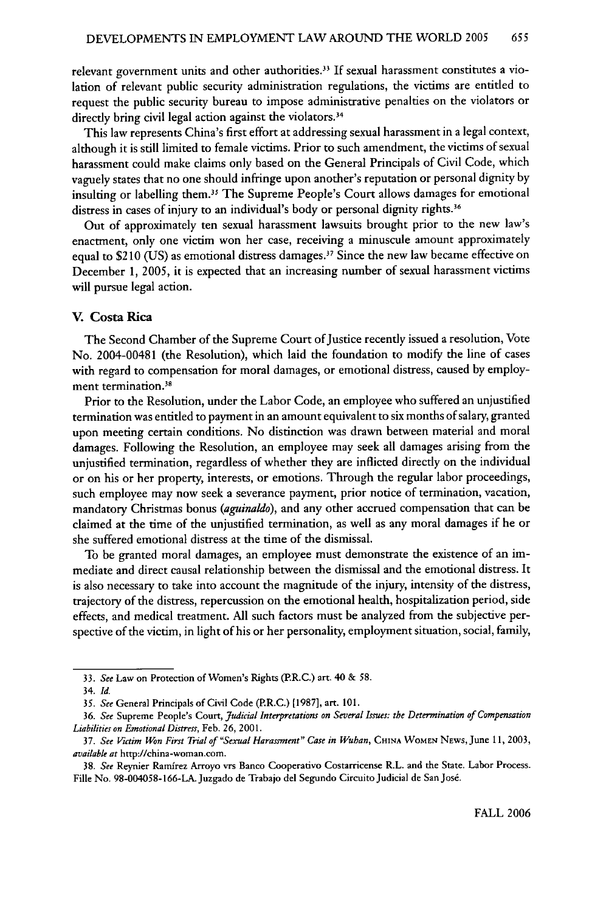relevant government units and other authorities.3 If sexual harassment constitutes a violation of relevant public security administration regulations, the victims are entitled to request the public security bureau to impose administrative penalties on the violators or directly bring civil legal action against the violators.<sup>34</sup>

This law represents China's first effort at addressing sexual harassment in a legal context, although it is still limited to female victims. Prior to such amendment, the victims of sexual harassment could make claims only based on the General Principals of Civil Code, which vaguely states that no one should infringe upon another's reputation or personal dignity by insulting or labelling them.<sup>35</sup> The Supreme People's Court allows damages for emotional distress in cases of injury to an individual's body or personal dignity rights.<sup>36</sup>

Out of approximately ten sexual harassment lawsuits brought prior to the new law's enactment, only one victim won her case, receiving a minuscule amount approximately equal to **S2** 10 (US) as emotional distress damages." Since the new law became effective on December 1, 2005, it is expected that an increasing number of sexual harassment victims will pursue legal action.

# **V. Costa Rica**

The Second Chamber of the Supreme Court of Justice recently issued a resolution, Vote No. 2004-00481 (the Resolution), which laid the foundation to modify the line of cases with regard to compensation for moral damages, or emotional distress, caused by employment termination.<sup>38</sup>

Prior to the Resolution, under the Labor Code, an employee who suffered an unjustified termination was entitled to payment in an amount equivalent to six months of salary, granted upon meeting certain conditions. No distinction was drawn between material and moral damages. Following the Resolution, an employee may seek all damages arising from the unjustified termination, regardless of whether they are inflicted directly on the individual or on his or her property, interests, or emotions. Through the regular labor proceedings, such employee may now seek a severance payment, prior notice of termination, vacation, mandatory Christmas bonus *(aguinaldo),* and any other accrued compensation that can be claimed at the time of the unjustified termination, as well as any moral damages if he or she suffered emotional distress at the time of the dismissal.

To be granted moral damages, an employee must demonstrate the existence of an immediate and direct causal relationship between the dismissal and the emotional distress. It is also necessary to take into account the magnitude of the injury, intensity of the distress, trajectory of the distress, repercussion on the emotional health, hospitalization period, side effects, and medical treatment. All such factors must be analyzed from the subjective perspective of the victim, in light of his or her personality, employment situation, social, family,

<sup>33.</sup> *See* Law on Protection of Women's Rights (P.R.C.) art. 40 & 58.

<sup>34.</sup> *Id.*

*<sup>35.</sup> See* General Principals of Civil Code (P.R.C.) [1987], art. 101.

<sup>36.</sup> *See* Supreme People's Court, *Judicial Interpretations on Several Issues: the Determination of Compensation Liabilities on Emotional Distress,* Feb. 26, 2001.

<sup>37.</sup> *See Victim Won First Trial of "Sexual Harassment" Case in Wuhan,* **CHINA** WOMEN NEWS,June 11, 2003, *available at* http://china-woman.com.

<sup>38.</sup> *See* Reynier Ramirez Arroyo vrs Banco Cooperativo Costarricense R.L. and the State. Labor Process. Fille No. 98-004058-166-LA. Juzgado de Trabajo del Segundo Circuito Judicial de San Jos6.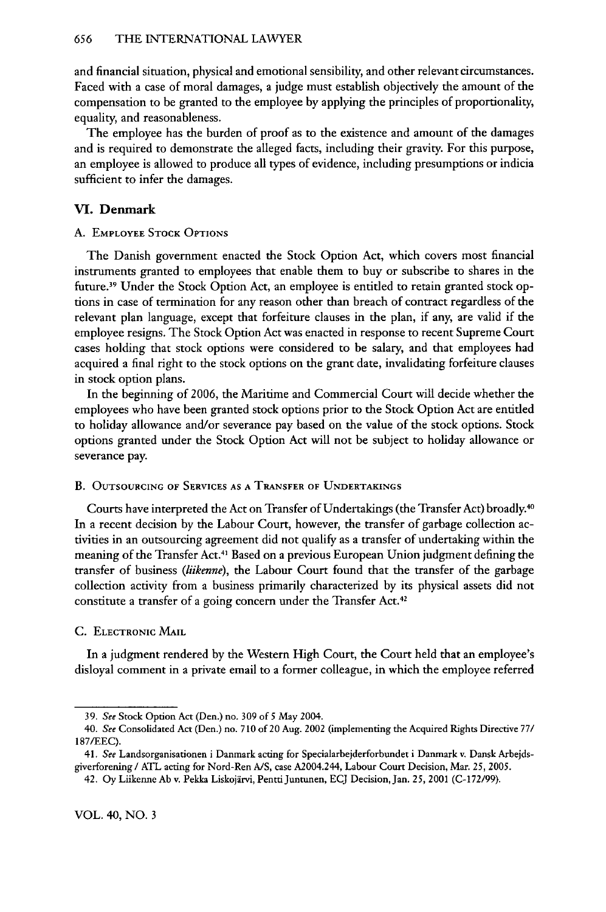and financial situation, physical and emotional sensibility, and other relevant circumstances. Faced with a case of moral damages, a judge must establish objectively the amount of the compensation to be granted to the employee by applying the principles of proportionality, equality, and reasonableness.

The employee has the burden of proof as to the existence and amount of the damages and is required to demonstrate the alleged facts, including their gravity. For this purpose, an employee is allowed to produce all types of evidence, including presumptions or indicia sufficient to infer the damages.

# **VI.** Denmark

# A. EMPLOYEE STOCK **OPTIONS**

The Danish government enacted the Stock Option Act, which covers most financial instruments granted to employees that enable them to buy or subscribe to shares in the future.<sup>39</sup> Under the Stock Option Act, an employee is entitled to retain granted stock options in case of termination for any reason other than breach of contract regardless of the relevant plan language, except that forfeiture clauses in the plan, if any, are valid if the employee resigns. The Stock Option Act was enacted in response to recent Supreme Court cases holding that stock options were considered to be salary, and that employees had acquired a final right to the stock options on the grant date, invalidating forfeiture clauses in stock option plans.

In the beginning of 2006, the Maritime and Commercial Court will decide whether the employees who have been granted stock options prior to the Stock Option Act are entitled to holiday allowance and/or severance pay based on the value of the stock options. Stock options granted under the Stock Option Act will not be subject to holiday allowance or severance pay.

# B. OUTSOURCING OF SERVICES AS **A** TRANSFER **OF UNDERTAKINGS**

Courts have interpreted the Act on Transfer of Undertakings (the Transfer Act) broadly.4° In a recent decision **by** the Labour Court, however, the transfer of garbage collection activities in an outsourcing agreement did not qualify as a transfer of undertaking within the meaning of the Transfer Act.4 Based on a previous European Union judgment defining the transfer of business *(iikenne),* the Labour Court found that the transfer of the garbage collection activity from a business primarily characterized **by** its physical assets did not constitute a transfer of a going concern under the Transfer Act.<sup>42</sup>

#### **C.** ELECTRONIC MAIL

In a judgment rendered **by** the Western High Court, the Court held that an employee's disloyal comment in a private email to a former colleague, in which the employee referred

<sup>39.</sup> *See* Stock Option Act (Den.) no. 309 of **5** May 2004.

*<sup>40.</sup> See* Consolidated Act (Den.) no. 710 of 20 Aug. 2002 (implementing the Acquired Rights Directive **77/** 187/EEC).

<sup>41.</sup> *See* Landsorganisationen i Danmark acting for Specialarbejderforbundet i Danmark v. Dansk Arbejdsgiverforening **/** ATL acting for Nord-Ren A/S, case A2004.244, Labour Court Decision, Mar. **25,** 2005.

<sup>42.</sup> **Oy** Liikenne Ab v. Pekka Liskojirvi, PenttiJuntunen, ECJ Decision, Jan. **25,** 2001 (C-172/99).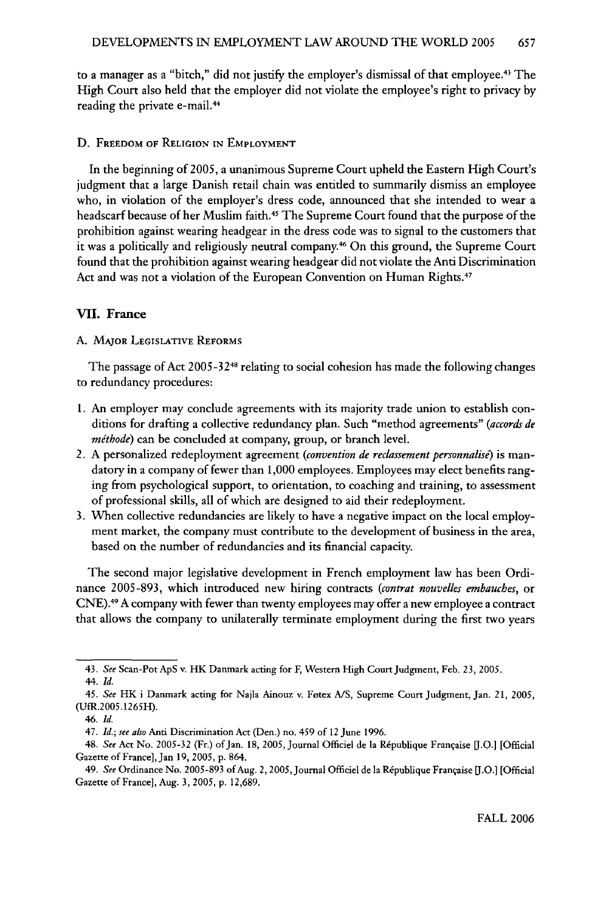to a manager as a "bitch," did not justify the employer's dismissal of that employee.<sup>43</sup> The High Court also held that the employer did not violate the employee's right to privacy by reading the private e-mail.<sup>44</sup>

#### D. FREEDOM OF **RELIGION IN** EMPLOYMENT

In the beginning of 2005, a unanimous Supreme Court upheld the Eastern High Court's judgment that a large Danish retail chain was entitled to summarily dismiss an employee who, in violation of the employer's dress code, announced that she intended to wear a headscarf because of her Muslim faith.<sup>45</sup> The Supreme Court found that the purpose of the prohibition against wearing headgear in the dress code was to signal to the customers that it was a politically and religiously neutral company.<sup>46</sup> On this ground, the Supreme Court found that the prohibition against wearing headgear did not violate the Anti Discrimination Act and was not a violation of the European Convention on Human Rights.<sup>47</sup>

#### **VII.** France

### A. **MAJOR LEGISLATIVE REFORMS**

The passage of Act 2005-32<sup>48</sup> relating to social cohesion has made the following changes to redundancy procedures:

- 1. An employer may conclude agreements with its majority trade union to establish conditions for drafting a collective redundancy plan. Such "method agreements" *(accords de mithode)* can be concluded at company, group, or branch level.
- 2. A personalized redeployment agreement *(convention de reclassement personnalise)* is mandatory in a company of fewer than 1,000 employees. Employees may elect benefits ranging from psychological support, to orientation, to coaching and training, to assessment of professional skills, all of which are designed to aid their redeployment.
- 3. When collective redundancies are likely to have a negative impact on the local employment market, the company must contribute to the development of business in the area, based on the number of redundancies and its financial capacity.

The second major legislative development in French employment law has been Ordinance 2005-893, which introduced new hiring contracts *(contrat nouvelles embauches,* or CNE).49 A company with fewer than twenty employees may offer a new employee a contract that allows the company to unilaterally terminate employment during the first two years

<sup>43.</sup> *See* Scan-Pot ApS v. HK Damnark acting for F, Western High Court Judgment, Feb. **23, 2005.**

<sup>44.</sup> *Id.*

<sup>45.</sup> *See* **HK** i Danmark acting for Najla Ainouz v. Fotex A/S, Supreme Court Judgment, Jan. 21, **2005,** (UfR.2005.1265H).

*<sup>46.</sup> Id.*

<sup>47.</sup> *Id.; see also* Anti Discrimination Act (Den.) no. 459 of 12 June 1996.

<sup>48.</sup> See Act No. 2005-32 (Fr.) of Jan. 18, 2005, Journal Officiel de la République Française [J.O.] [Official Gazette of France], Jan 19, **2005,** p. 864.

<sup>49.</sup> See Ordinance No. 2005-893 of Aug. 2, 2005, Journal Officiel de la République Française [J.O.] [Official Gazette of France], Aug. 3, 2005, p. 12,689.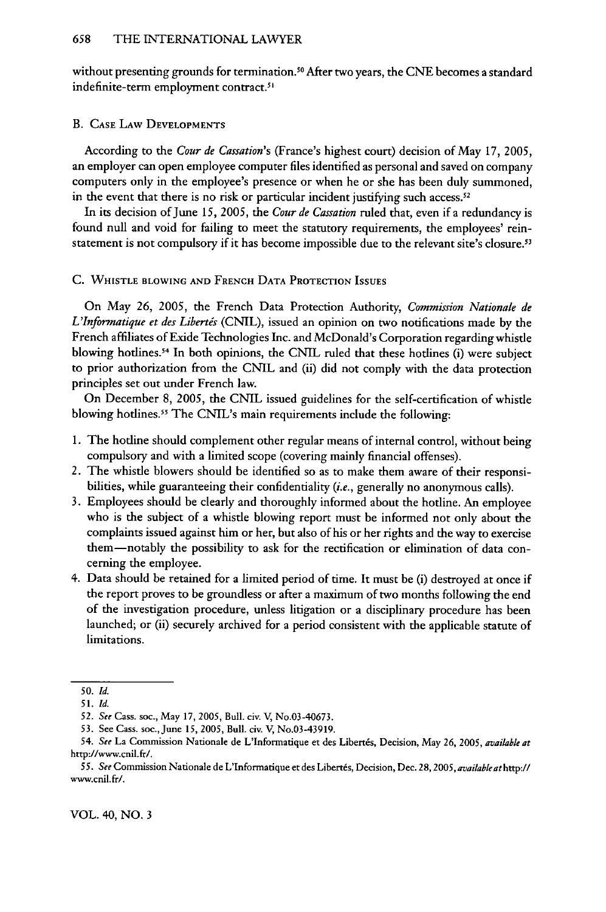without presenting grounds for termination.<sup>50</sup> After two years, the CNE becomes a standard indefinite-term employment contract.<sup>51</sup>

#### B. **CASE LAW DEVELOPMENTS**

According to the *Cour de Cassation's* (France's highest court) decision of May 17, 2005, an employer can open employee computer files identified as personal and saved on company computers only in the employee's presence or when he or she has been duly summoned, in the event that there is no risk or particular incident justifying such access.<sup>52</sup>

In its decision of June *15, 2005,* the *Cour de Cassation* ruled that, even if a redundancy is found null and void for failing to meet the statutory requirements, the employees' reinstatement is not compulsory if it has become impossible due to the relevant site's closure.<sup>53</sup>

#### C. WHISTLE BLOWING **AND** FRENCH **DATA** PROTECTION **ISSUES**

On May 26, 2005, the French Data Protection Authority, *Commission Nationale de L'Informatique et des Libertis* (CNIL), issued an opinion on two notifications made by the French affiliates of Exide Technologies Inc. and McDonald's Corporation regarding whistle blowing hotlines.<sup>54</sup> In both opinions, the CNIL ruled that these hotlines (i) were subject to prior authorization from the CNIL and (ii) did not comply with the data protection principles set out under French law.

On December 8, 2005, the CNIL issued guidelines for the self-certification of whistle blowing hotlines.<sup>55</sup> The CNIL's main requirements include the following:

- 1. The hotline should complement other regular means of internal control, without being compulsory and with a limited scope (covering mainly financial offenses).
- 2. The whistle blowers should be identified so as to make them aware of their responsibilities, while guaranteeing their confidentiality *(i.e.,* generally no anonymous calls).
- 3. Employees should be clearly and thoroughly informed about the hotline. An employee who is the subject of a whistle blowing report must be informed not only about the complaints issued against him or her, but also of his or her rights and the way to exercise them-notably the possibility to ask for the rectification or elimination of data concerning the employee.
- 4. Data should be retained for a limited period of time. It must be (i) destroyed at once if the report proves to be groundless or after a maximum of two months following the end of the investigation procedure, unless litigation or a disciplinary procedure has been launched; or (ii) securely archived for a period consistent with the applicable statute of limitations.

VOL. 40, NO. 3

*<sup>50.</sup> Id.*

**<sup>51.</sup>** *Id.*

*<sup>52.</sup> See* Cass. soc., May 17, 2005, Bull. civ. V, No.03-40673.

<sup>53.</sup> See Cass. soc.,June *15,* 2005, Bull. civ. V, No.03-43919.

*<sup>54.</sup> See* La Commission Nationale de L'Informatique et des Liberts, Decision, May 26, *2005, available at* http://www.cnil.fr/.

<sup>55.</sup> See Commission Nationale de L'Informatique et des Libertés, Decision, Dec. 28, 2005, available at http:// www.cnil.fr/.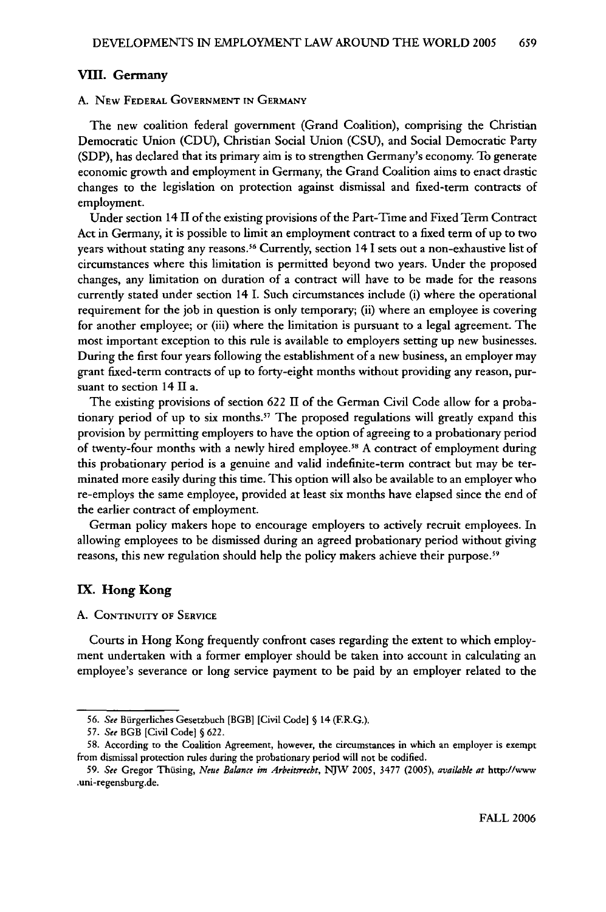#### VIII. Germany

#### A. NEw **FEDERAL GOVERNMENT IN GERMANY**

The new coalition federal government (Grand Coalition), comprising the Christian Democratic Union **(CDU),** Christian Social Union (CSU), and Social Democratic Party **(SDP),** has declared that its primary aim is to strengthen Germany's economy. To generate economic growth and employment in Germany, the Grand Coalition aims to enact drastic changes to the legislation on protection against dismissal and fixed-term contracts of employment.

Under section 14 I1 of the existing provisions of the Part-Time and Fixed Term Contract Act in Germany, it is possible to limit an employment contract to a fixed term of up to two years without stating any reasons.<sup>56</sup> Currently, section 14 I sets out a non-exhaustive list of circumstances where this limitation is permitted beyond two years. Under the proposed changes, any limitation on duration of a contract will have to be made for the reasons currently stated under section 14 I. Such circumstances include (i) where the operational requirement for the **job** in question is only temporary; (ii) where an employee is covering for another employee; or (iii) where the limitation is pursuant to a legal agreement. The most important exception to this rule is available to employers setting up new businesses. During the first four years following the establishment of a new business, an employer may grant fixed-term contracts of up to forty-eight months without providing any reason, pursuant to section 14 II a.

The existing provisions of section **622** II of the German Civil Code allow for a probationary period of up to six months." The proposed regulations will greatly expand this provision **by** permitting employers to have the option of agreeing to a probationary period of twenty-four months with a newly hired employee.<sup>58</sup> A contract of employment during this probationary period is a genuine and valid indefinite-term contract but may be terminated more easily during this time. This option will also be available to an employer who re-employs the same employee, provided at least six months have elapsed since the end of the earlier contract of employment.

German policy makers hope to encourage employers to actively recruit employees. In allowing employees to be dismissed during an agreed probationary period without giving reasons, this new regulation should help the policy makers achieve their purpose.<sup>59</sup>

# IX. Hong Kong

#### **A. CONTINUITY OF SERVICE**

Courts in Hong Kong frequently confront cases regarding the extent to which employment undertaken with a former employer should be taken into account in calculating an employee's severance or long service payment to be paid **by** an employer related to the

*<sup>56.</sup> See* Biirgerliches Gesetzbuch [BGB] [Civil Code] § 14 (F.R.G.).

*<sup>57.</sup> See* BGB [Civil Code] **§** 622.

<sup>58.</sup> According to the Coalition Agreement, however, the circumstances in which an employer is exempt from dismissal protection rules during the probationary period will not be codified.

**<sup>59.</sup>** *See* Gregor Thusing, *Neue Balance im Arbeitsrecbt, NJW* **2005,** 3477 **(2005),** *available at* http://www .uni-regensburg.de.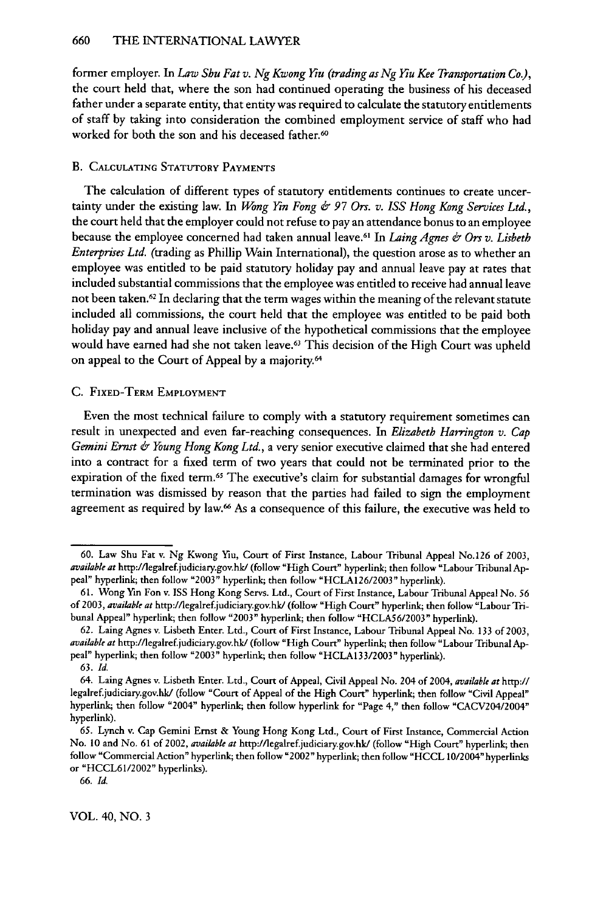former employer. In *Law Shu Fat v. Ng Kwong Ku (trading as Ng* Ku *Kee Transportation Co),* the court held that, where the son had continued operating the business of his deceased father under a separate entity, that entity was required to calculate the statutory entitlements of staff by taking into consideration the combined employment service of staff who had worked for both the son and his deceased father.<sup>60</sup>

# B. **CALCULATING** STATUTORY **PAYMENTS**

The calculation of different types of statutory entitlements continues to create uncertainty under the existing law. In *Wong Yin Fong & 97 Ors. v. ISS Hong Kong Services Ltd.,* the court held that the employer could not refuse to pay an attendance bonus to an employee because the employee concerned had taken annual leave.61 In *Laing Agnes & Ors v. Lisbetb Enterprises Ltd.* (trading as Phillip Wain International), the question arose as to whether an employee was entitled to be paid statutory holiday pay and annual leave pay at rates that included substantial commissions that the employee was entitled to receive had annual leave not been taken.<sup>62</sup> In declaring that the term wages within the meaning of the relevant statute included all commissions, the court held that the employee was entitled to be paid both holiday pay and annual leave inclusive of the hypothetical commissions that the employee would have earned had she not taken leave.63 This decision of the High Court was upheld on appeal to the Court of Appeal by a majority.<sup>64</sup>

#### **C.** FIXED-TERM EMPLOYMENT

Even the most technical failure to comply with a statutory requirement sometimes can result in unexpected and even far-reaching consequences. In *Elizabeth Harrington v. Cap Gemini Ernst & Young Hong Kong Ltd.,* a very senior executive claimed that she had entered into a contract for a fixed term of **two** years that could not be terminated prior to the expiration of the fixed term.<sup>65</sup> The executive's claim for substantial damages for wrongful termination was dismissed by reason that the parties had failed to sign the employment agreement as required **by** law.6 As a consequence of this failure, the executive was held to

**<sup>60.</sup>** Law Shu Fat v. Ng Kwong Yiu, Court of First Instance, Labour Tribunal Appeal No.126 of **2003,** *available at* http://legalref.judiciary.gov.hk/ (follow **"High** Court" hyperlink; then follow "Labour Tribunal Appeal" hyperlink; then follow "2003" hyperlink; then follow "HCLA126/2003" hyperlink).

<sup>61.</sup> Wong Yin Fon v. ISS Hong Kong Servs. Ltd., Court of First Instance, Labour Tribunal Appeal No. 56 of 2003, *available at* http://legalref.judiciary.gov.hk/ (follow "High Court" hyperlink; then follow "Labour Tribunal Appeal" hyperlink, then follow "2003" hyperlink; then follow "HCLA56/2003" hyperlink).

<sup>62.</sup> Laing Agnes v. Lisbeth Enter. Ltd., Court of First Instance, Labour Tribunal Appeal No. 133 of 2003, *available at* http://legalref.judiciary.gov.hk/ (follow **"High** Court" hyperlink; then follow "Labour Tribunal Appeal" hyperlink; then follow "2003" hyperlink; then follow "HCLA33/2003" hyperlink).

<sup>63.</sup> *Id.*

<sup>64.</sup> Laing Agnes v. Lisbeth Enter. Ltd., Court of Appeal, Civil Appeal No. 204 of 2004, *available at http:ll* legalref.judiciary.gov.hk/ (follow "Court of Appeal of the High Court" hyperlink; then follow "Civil Appeal" hyperlink; then follow "2004" hyperlink; then follow hyperlink for "Page 4," then follow "CACV204/2004" hyperlink).

<sup>65.</sup> Lynch v. Cap Gemini Ernst & Young Hong Kong Ltd., Court of First Instance, Commercial Action No. **10** and No. 61 of 2002, *available at* http://legalref.judiciary.gov.hk/ (follow "High Court" hyperlink; then follow "Commercial Action" hyperlink; then follow "2002" hyperlink; then follow "HCCL 10/2004" hyperlinks or "HCCL61/2002" hyperlinks).

**<sup>66.</sup>** *Id.*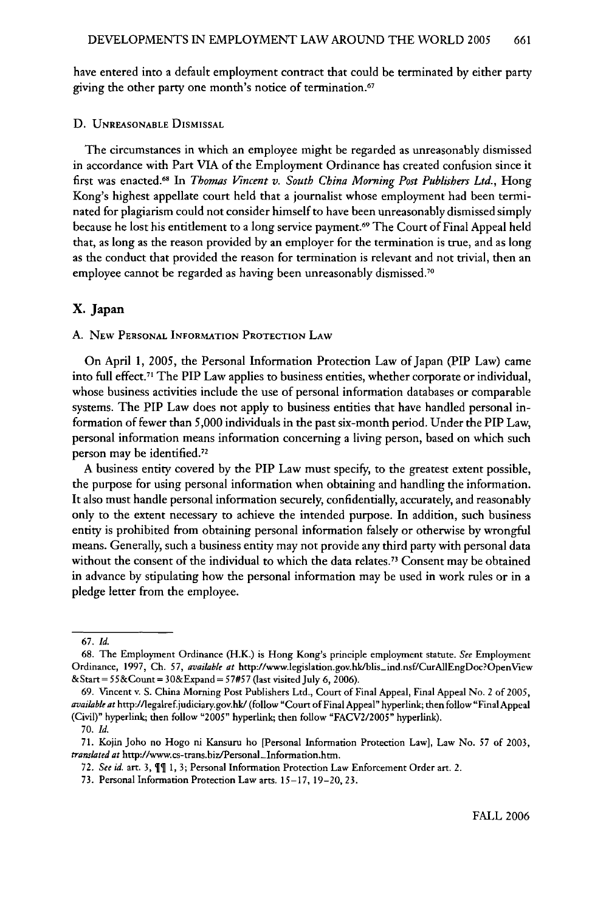have entered into a default employment contract that could be terminated by either party giving the other party one month's notice of termination.<sup>67</sup>

D. **UNREASONABLE DISMISSAL**

The circumstances in which an employee might be regarded as unreasonably dismissed in accordance with Part VIA of the Employment Ordinance has created confusion since it first was enacted.68 In *Thomas Vincent v. South China Morning Post Publishers Ltd.,* Hong Kong's highest appellate court held that a journalist whose employment had been terminated for plagiarism could not consider himself to have been unreasonably dismissed simply because he lost his entitlement to a long service payment. 69 The Court of Final Appeal held that, as long as the reason provided by an employer for the termination is true, and as long as the conduct that provided the reason for termination is relevant and not trivial, then an employee cannot be regarded as having been unreasonably dismissed.<sup>70</sup>

#### **X. Japan**

A. **NEW PERSONAL** INFORMATION PROTECTION LAW

On April **1,** 2005, the Personal Information Protection Law of Japan (PIP Law) came into full effect.<sup>71</sup> The PIP Law applies to business entities, whether corporate or individual, whose business activities include the use of personal information databases or comparable systems. The PIP Law does not apply to business entities that have handled personal information of fewer than 5,000 individuals in the past six-month period. Under the PIP Law, personal information means information concerning a living person, based on which such person may be identified.<sup>72</sup>

A business entity covered **by** the PIP Law must specify, to the greatest extent possible, the purpose for using personal information when obtaining and handling the information. It also must handle personal information securely, confidentially, accurately, and reasonably only to the extent necessary to achieve the intended purpose. In addition, such business entity is prohibited from obtaining personal information falsely or otherwise **by** wrongful means. Generally, such a business entity may not provide any third party with personal data without the consent of the individual to which the data relates.<sup>73</sup> Consent may be obtained in advance by stipulating how the personal information may be used in work rules or in a pledge letter from the employee.

<sup>67.</sup> *Id.*

**<sup>68.</sup>** The Employment Ordinance (H.K.) is Hong Kong's principle employment statute. *See* Employment Ordinance, 1997, **Ch.** 57, *available at* htp://www.legislation.gov.hk/blis-ind.nsf/CurAllEngDoc?OpenView &Start= 55&Count **=** 30&Expand **=** 57#57 (last visited July 6, 2006).

<sup>69.</sup> Vincent v. S. China Morning Post Publishers Ltd., Court of Final Appeal, Final Appeal No. 2 of 2005, *available at* http://legalref.judiciary.gov.hk/ (follow "Court of Final Appeal" hyperlink; then follow "Final Appeal (Civil)" hyperlink; then follow "2005" hyperlink; then follow "FACV2/2005" hyperlink).

<sup>70.</sup> *Id.*

<sup>71.</sup> Kojin Joho no Hogo ni Kansuru ho [Personal Information Protection Law], Law No. 57 of 2003, *translated at* http://www.cs-trans.biz/Personal-Information.htm.

<sup>72.</sup> See id. art. 3,  $\P$ <sup>q</sup> 1, 3; Personal Information Protection Law Enforcement Order art. 2.

<sup>73.</sup> Personal Information Protection Law arts. 15-17, 19-20, 23.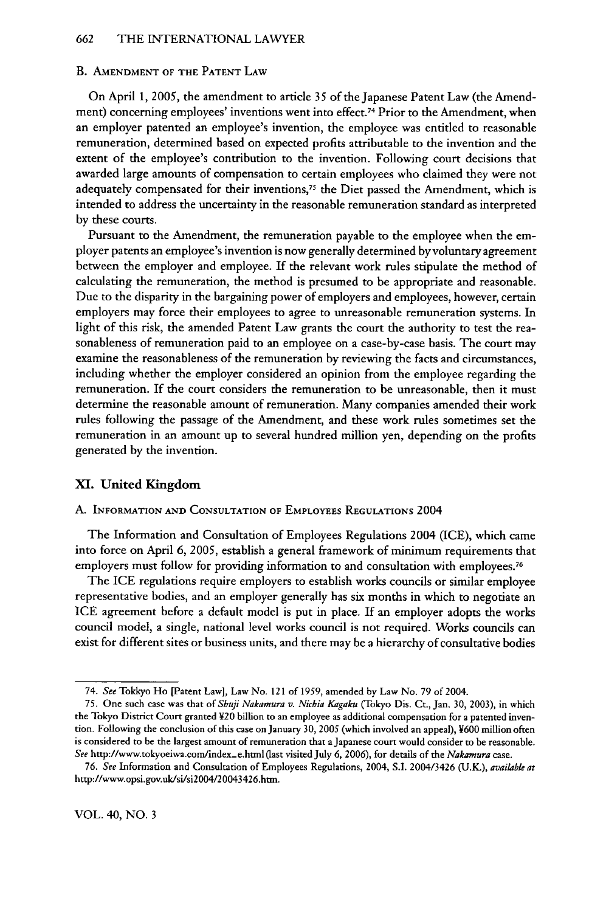#### B. **AMENDMENT** OF THE **PATENT** LAW

On April 1, 2005, the amendment to article 35 of the Japanese Patent Law (the Amendment) concerning employees' inventions went into effect.<sup>74</sup> Prior to the Amendment, when an employer patented an employee's invention, the employee was entitled to reasonable remuneration, determined based on expected profits attributable to the invention and the extent of the employee's contribution to the invention. Following court decisions that awarded large amounts of compensation to certain employees who claimed they were not adequately compensated for their inventions,75 the Diet passed the Amendment, which is intended to address the uncertainty in the reasonable remuneration standard as interpreted by these courts.

Pursuant to the Amendment, the remuneration payable to the employee when the employer patents an employee's invention is now generally determined by voluntary agreement between the employer and employee. If the relevant work rules stipulate the method of calculating the remuneration, the method is presumed to be appropriate and reasonable. Due to the disparity in the bargaining power of employers and employees, however, certain employers may force their employees to agree to unreasonable remuneration systems. In light of this risk, the amended Patent Law grants the court the authority to test the reasonableness of remuneration paid to an employee on a case-by-case basis. The court may examine the reasonableness of the remuneration by reviewing the facts and circumstances, including whether the employer considered an opinion from the employee regarding the remuneration. If the court considers the remuneration to be unreasonable, then it must determine the reasonable amount of remuneration. Many companies amended their work rules following the passage of the Amendment, and these work rules sometimes set the remuneration in an amount up to several hundred million yen, depending on the profits generated by the invention.

### **X.** United **Kingdom**

### **A. INFORMATION AND CONSULTATION OF EMPLOYEES REGULATIONS** 2004

The Information and Consultation of Employees Regulations 2004 **(ICE),** which came into force on April **6, 2005,** establish a general framework of minimum requirements that employers must follow for providing information to and consultation with employees.<sup>76</sup>

The ICE regulations require employers to establish works councils or similar employee representative bodies, and an employer generally has six months in which to negotiate an **ICE** agreement before a default model is put in place. **If** an employer adopts the works council model, a single, national level works council is not required. Works councils can exist for different sites or business units, and there may be a hierarchy of consultative bodies

*<sup>74.</sup> See* Tokkyo Ho [Patent Law], Law **No.** 121 of **1959,** amended **by** Law No. **79 of** 2004.

**<sup>75.</sup>** One such case was that *of Shuji Nakamura v. Nichia Kagaku* (Tokyo Dis. Ct., Jan. 30, 2003), in which the Tokyo District Court granted V20 billion to an employee as additional compensation for a patented invention. Following the conclusion of this case onJanuary 30, 2005 (which involved an appeal), ¥600 million often is considered to be the largest amount of remuneration that a Japanese court would consider to be reasonable. *See* http://www.tokyoeiwa.com/index-e.html (last visited July 6, 2006), for details of the *Nakamura* case.

**<sup>76.</sup>** *See* Information and Consultation of Employees Regulations, 2004, **S.I.** 2004/3426 (U.K), *available* **at** http://www.opsi.gov.uk/si/si2004/20043426.htn.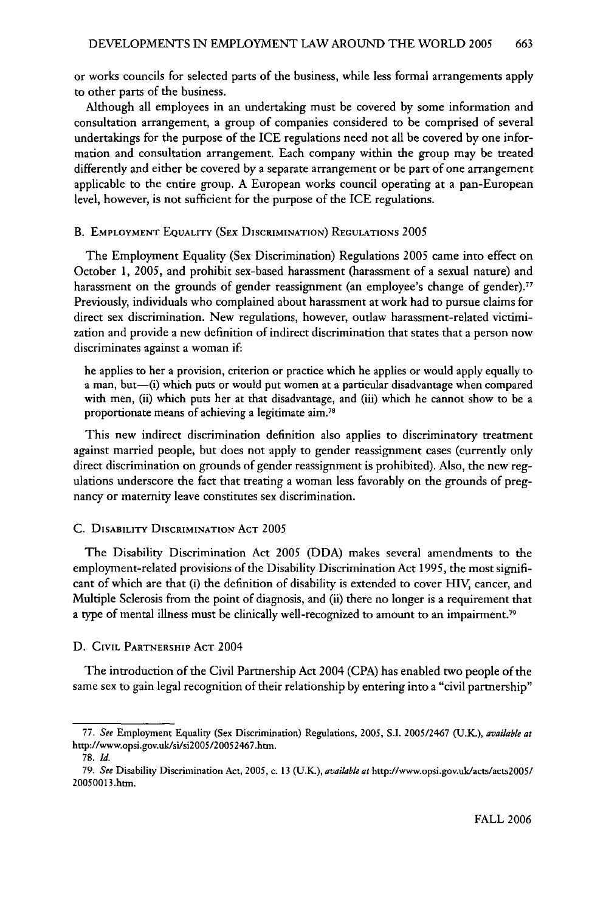or works councils for selected parts of the business, while less formal arrangements apply to other parts of the business.

Although all employees in an undertaking must be covered by some information and consultation arrangement, a group of companies considered to be comprised of several undertakings for the purpose of the ICE regulations need not all be covered by one information and consultation arrangement. Each company within the group may be treated differently and either be covered by a separate arrangement or be part of one arrangement applicable to the entire group. A European works council operating at a pan-European level, however, is not sufficient for the purpose of the ICE regulations.

#### B. EMPLOYMENT **EQUALITY** (SEx DISCRIMINATION) REGULATIONs 2005

The Employment Equality (Sex Discrimination) Regulations 2005 came into effect on October **1,** 2005, and prohibit sex-based harassment (harassment of a sexual nature) and harassment on the grounds of gender reassignment (an employee's change of gender)." Previously, individuals who complained about harassment at work had to pursue claims for direct sex discrimination. New regulations, however, outlaw harassment-related victimization and provide a new definition of indirect discrimination that states that a person now discriminates against a woman if:

he applies to her a provision, criterion or practice which he applies or would apply equally to a man, but-(i) which puts or would put women at a particular disadvantage when compared with men, (ii) which puts her at that disadvantage, and (iii) which he cannot show to be a proportionate means of achieving a legitimate aim.78

This new indirect discrimination definition also applies to discriminatory treatment against married people, but does not apply to gender reassignment cases (currently only direct discrimination on grounds of gender reassignment is prohibited). Also, the new regulations underscore the fact that treating a woman less favorably on the grounds of pregnancy or maternity leave constitutes sex discrimination.

#### **C. DISABILITY** DISCRIMINATION **ACT 2005**

The Disability Discrimination Act 2005 (DDA) makes several amendments to the employment-related provisions of the Disability Discrimination Act 1995, the most significant of which are that (i) the definition of disability is extended to cover HIV, cancer, and Multiple Sclerosis from the point of diagnosis, and (ii) there no longer is a requirement that a type of mental illness must be clinically well-recognized to amount to an impairment.<sup>79</sup>

#### D. CIVIL PARTNERSHIP **ACT** 2004

The introduction of the Civil Partnership Act 2004 **(CPA)** has enabled two people of the same sex to gain legal recognition of their relationship **by** entering into a "civil partnership"

**<sup>77.</sup>** *See* Employment Equality (Sex Discrimination) Regulations, 2005, S.I. 2005/2467 **(U.K.),** *available at* http://www.opsi.gov.uk/si/si2005/20052467.htm.

<sup>78.</sup> *Id.*

*<sup>79.</sup> See* Disability Discrimination Act, 2005, c. 13 **(U.K.),** *available at* http://www.opsi.gov.uk/acts/acts2005/ 20050013.htm.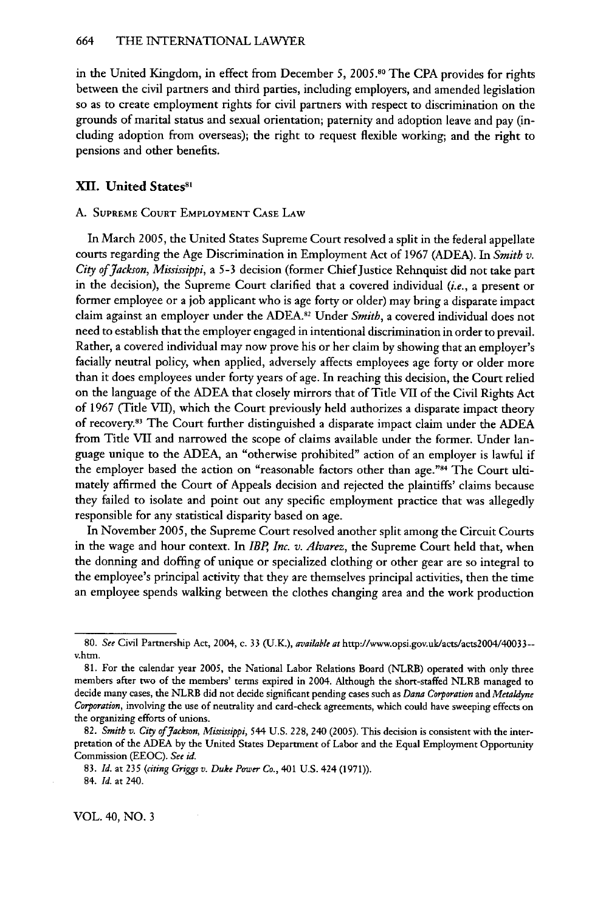in the United Kingdom, in effect from December 5, 2005.80 The CPA provides for rights between the civil partners and third parties, including employers, and amended legislation so as to create employment rights for civil partners with respect to discrimination on the grounds of marital status and sexual orientation; paternity and adoption leave and pay (including adoption from overseas); the right to request flexible working; and the right to pensions and other benefits.

# XII. United States<sup>81</sup>

# **A. SUPREME COURT EMPLOYMENT CASE LAW**

In March 2005, the United States Supreme Court resolved a split in the federal appellate courts regarding the Age Discrimination in Employment Act of 1967 **(ADEA).** In *Smith v. City of Jackson, Mississippi,* a **5-3** decision (former Chief Justice Rehnquist did not take part in the decision), the Supreme Court clarified that a covered individual *(i.e.,* a present or former employee or a **job** applicant who is age forty or older) may bring a disparate impact claim against an employer under the **ADEA.12** Under *Smith,* a covered individual does not need to establish that the employer engaged in intentional discrimination in order to prevail. Rather, a covered individual **may** now prove his or her claim **by** showing that an employer's facially neutral policy, when applied, adversely affects employees age forty or older more than it does employees under forty years of age. In reaching this decision, the Court relied on the language of the ADEA that closely mirrors that of Tide **VII** of the Civil Rights Act of 1967 (Title VII), which the Court previously held authorizes a disparate impact theory of recovery."3 The Court further distinguished a disparate impact claim under the **ADEA** from Tide VII and narrowed the scope of claims available under the former. Under language unique to the **ADEA,** an "otherwise prohibited" action of an employer is lawful if the employer based the action on "reasonable factors other than age."<sup>84</sup> The Court ultimately affirmed the Court of Appeals decision and rejected the plaintiffs' claims because they failed to isolate and point out any specific employment practice that was allegedly responsible for any statistical disparity based on age.

In November 2005, the Supreme Court resolved another split among the Circuit Courts in the wage and hour context. In *IBP, Inc. v. Alvarez,* the Supreme Court held that, when the donning and doffing of unique or specialized clothing or other gear are so integral to the employee's principal activity that they are themselves principal activities, then the time an employee spends walking between the clothes changing area and the work production

VOL. 40, NO. **3**

**<sup>80.</sup>** *See* Civil Partnership Act, 2004, c. 33 **(U.K.),** *available at* http://www.opsi.gov.uk/acts/acts2004/40033- v.htm.

<sup>81.</sup> For the calendar year 2005, the National Labor Relations Board (NLRB) operated with only three members after two of the members' terms expired in 2004. Although the short-staffed NLRB managed to decide many cases, the NLRB did not decide significant pending cases such as *Dana Corporation and Metaldyne Corporation,* involving the use of neutrality and card-check agreements, which could have sweeping effects on the organizing efforts of unions.

**<sup>82.</sup>** *Smitb v. City of Jackson, Mississippi,* 544 **U.S.** 228, 240 **(2005).** This decision is consistent with the interpretation of the **ADEA by** the United States Department of Labor and the Equal Employment Opportunity Commission **(EEOC).** *See id.*

<sup>83.</sup> *Id.* at *235 (citing Griggs v. Duke Power Co.,* 401 U.S. 424 (1971)).

<sup>84.</sup> *Id.* at 240.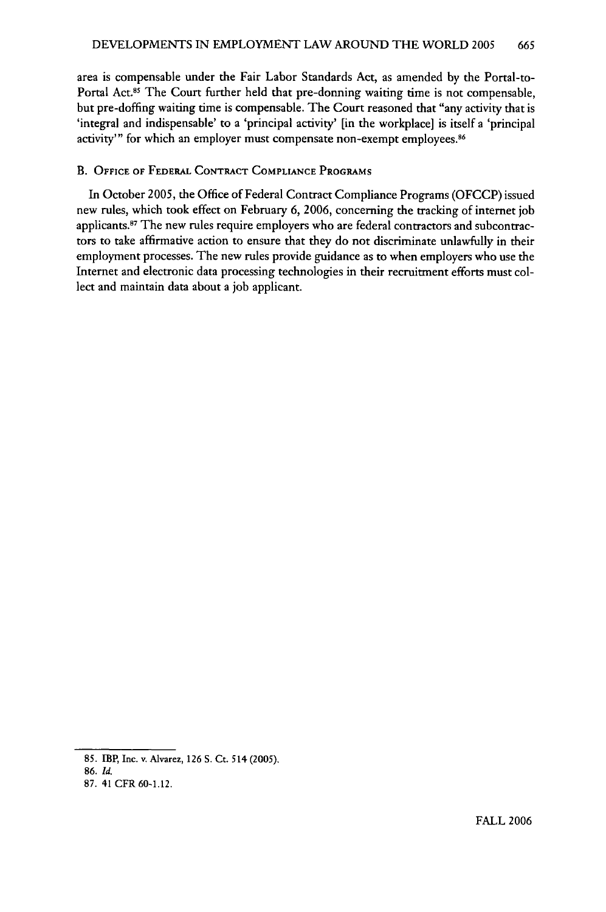area is compensable under the Fair Labor Standards Act, as amended by the Portal-to-Portal Act.85 The Court further held that pre-donning waiting time is not compensable, but pre-doffing waiting time is compensable. The Court reasoned that "any activity that is 'integral and indispensable' to a 'principal activity' [in the workplace] is itself a 'principal activity'" for which an employer must compensate non-exempt employees.<sup>86</sup>

#### B. **OFFICE OF FEDERAL CONTRACT COMPLIANCE** PROGRAMS

In October 2005, the Office of Federal Contract Compliance Programs (OFCCP) issued new rules, which took effect on February 6, 2006, concerning the tracking of internet job applicants.<sup>87</sup> The new rules require employers who are federal contractors and subcontractors to take affirmative action to ensure that they do not discriminate unlawfully in their employment processes. The new rules provide guidance as to when employers who use the Internet and electronic data processing technologies in their recruitment efforts must collect and maintain data about a **job** applicant.

<sup>85.</sup> IBP, Inc. v. Alvarez, 126 S. Ct. 514 **(2005).**

<sup>86.</sup> *Id.*

<sup>87. 41</sup> CFR 60-1.12.